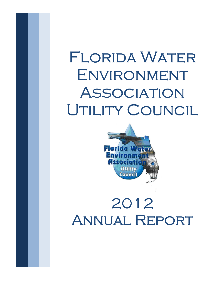# FLORIDA WATER Environment **ASSOCIATION** UTILITY COUNCIL



# 2012 Annual Report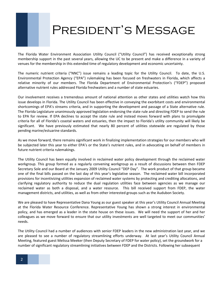#### President's Message

The Florida Water Environment Association Utility Council ("Utility Council") has received exceptionally strong membership support in the past several years, allowing the UC to be present and make a difference in a variety of venues for the membership in this extended time of regulatory development and economic uncertainty.

The numeric nutrient criteria ("NNC") issue remains a leading topic for the Utility Council. To date, the U.S. Environmental Protection Agency ("EPA") rulemaking has been focused on freshwaters in Florida, which affects a relative minority of our members. The Florida Department of Environmental Protection's ("FDEP") proposed alternative nutrient rules addressed Florida freshwaters and a number of state estuaries.

Our involvement receives a tremendous amount of national attention as other states and utilities watch how this issue develops in Florida. The Utility Council has been effective in conveying the exorbitant costs and environmental shortcomings of EPA's streams criteria, and in supporting the development and passage of a State alternative rule. The Florida Legislature unanimously approved legislation endorsing the state rule and directing FDEP to send the rule to EPA for review. If EPA declines to accept the state rule and instead moves forward with plans to promulgate criteria for all of Florida's coastal waters and estuaries, then the impact to Florida's utility community will likely be significant. We have previously estimated that nearly 80 percent of utilities statewide are regulated by those pending marine/estuarine standards.

As we move forward, there remains significant work in finalizing implementation strategies for our members who will be subjected later this year to either EPA's or the State's nutrient rules, and in advocating on behalf of members in future nutrient criteria rulemakings.

The Utility Council has been equally involved in reclaimed water policy development through the reclaimed water workgroup. This group formed as a regularly convening workgroup as a result of discussions between then FDEP Secretary Sole and our Board at the January 2009 Utility Council "DEP Day". The work product of that group became one of the final bills passed on the last day of this year's legislative season. The reclaimed water bill incorporated provisions for incentivizing utilities expansion of reclaimed water systems by protecting and crediting allocations, and clarifying regulatory authority to reduce the dual regulation utilities face between agencies as we manage our reclaimed water as both a disposal, and a water resource. This bill received support from FDEP, the water management districts, and utilities, as well as from other interested groups such as the Audubon Society.

We are pleased to have Representative Dana Young as our guest speaker at this year's Utility Council Annual Meeting at the Florida Water Resource Conference. Representative Young has shown a strong interest in environmental policy, and has emerged as a leader in the state house on these issues. We will need the support of her and her colleagues as we move forward to ensure that our utility investments are well targeted to meet our communities' needs.

The Utility Council had a number of audiences with senior FDEP leaders in the new administration last year, and we are pleased to see a number of regulatory streamlining efforts underway. At last year's Utility Council Annual Meeting, featured guest Melissa Meeker (then Deputy Secretary of FDEP for water policy), set the groundwork for a number of significant regulatory streamlining initiatives between FDEP and the Districts. Following her subsequent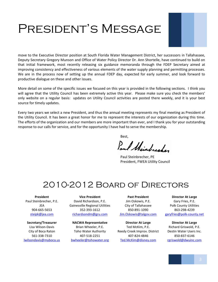# President's Message



move to the Executive Director position at South Florida Water Management District, her successors in Tallahassee, Deputy Secretary Gregory Munson and Office of Water Policy Director Dr. Ann Shortelle, have continued to build on that initial framework, most recently releasing six guidance memoranda through the FDEP Secretary aimed at improving consistency and effectiveness of various elements of the water supply planning and permitting processes. We are in the process now of setting up the annual FDEP day, expected for early summer, and look forward to productive dialogue on these and other issues.

More detail on some of the specific issues we focused on this year is provided in the following sections. I think you will agree that the Utility Council has been extremely active this year. Please make sure you check the members' only website on a regular basis: updates on Utility Council activities are posted there weekly, and it is your best source for timely updates.

Every two years we select a new President, and thus the annual meeting represents my final meeting as President of the Utility Council. It has been a great honor for me to represent the interests of our organization during this time. The efforts of the organization and our members are more important than ever, and I thank you for your outstanding response to our calls for service, and for the opportunity I have had to serve the membership.

Best,

Paul thinhester

Paul Steinbrecher, PE President, FWEA Utility Council

#### 2010-2012 Board of Directors

**President** Paul Steinbrecher, P.E. JEA 904-665-5653 steipk@jea.com

**Secretary/Treasurer** Lisa Wilson-Davis City of Boca Raton 561-338-7310 lwilsondavis@myboca.us

**Vice President** David Richardson, P.E. Gainesville Regional Utilities 352-393-1612 richardsondm@gru.com

**NACWA Representative** Brian Wheeler, P.E. Toho Water Authority 407-518-2251 bwheeler@tohowater.org

**Past President** Jim Oskowis, P.E. City of Tallahassee 850-891-1090 Jim.Oskowis@talgov.com

**Director At Large** Ted McKim, P.E. Reedy Creek Improv. District 407-824-4846 Ted.McKim@disney.com

**Director At Large** Gary Fries, P.E. Polk County Utilities 863-298-4239 garyfries@polk-county.net

**Director At Large** Richard Griswold, P.E. Destin Water Users Inc. 850-837-6146 rgriswold@dwuinc.com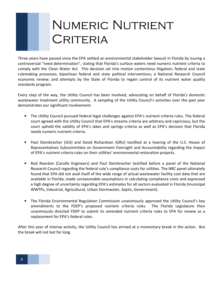# NUMERIC NUTRIENT **CRITERIA**

Three years have passed since the EPA settled an environmental stakeholder lawsuit in Florida by issuing a controversial "need determination", stating that Florida's surface waters need numeric nutrient criteria to comply with the Clean Water Act. This decision set into motion contentious litigation; federal and state rulemaking processes; bipartisan federal and state political interventions; a National Research Council economic review; and attempts by the State of Florida to regain control of its nutrient water quality standards program.

Every step of the way, the Utility Council has been involved, advocating on behalf of Florida's domestic wastewater treatment utility community. A sampling of the Utility Council's activities over the past year demonstrates our significant involvement:

- The Utility Council pursued federal legal challenges against EPA's nutrient criteria rules. The federal court agreed with the Utility Council that EPA's streams criteria are arbitrary and capricious, but the court upheld the validity of EPA's lakes and springs criteria as well as EPA's decision that Florida needs numeric nutrient criteria.
- Paul Steinbrecher (JEA) and David Richardson (GRU) testified at a hearing of the U.S. House of Representatives Subcommittee on Government Oversight and Accountability regarding the impact of EPA's nutrient criteria rules on their utilities' environmental restoration projects.
- Rod Reardon (Carollo Engineers) and Paul Steinbrecher testified before a panel of the National Research Council regarding the federal rule's compliance costs for utilities. The NRC panel ultimately found that EPA did not avail itself of the wide range of actual wastewater facility cost data that are available in Florida, made unreasonable assumptions in calculating compliance costs and expressed a high degree of uncertainty regarding EPA's estimates for all sectors evaluated in Florida (municipal WWTPs, Industrial, Agricultural, Urban Stormwater, Septic, Government).
- The Florida Environmental Regulation Commission unanimously approved the Utility Council's key amendments to the FDEP's proposed nutrient criteria rules. The Florida Legislature then unanimously directed FDEP to submit its amended nutrient criteria rules to EPA for review as a replacement for EPA's federal rules.

After this year of intense activity, the Utility Council has arrived at a momentary break in the action. But the break will not last for long.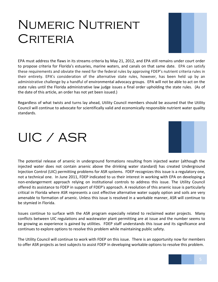#### NUMERIC NUTRIENT **CRITERIA**



EPA must address the flaws in its streams criteria by May 21, 2012, and EPA still remains under court order to propose criteria for Florida's estuaries, marine waters, and canals on that same date. EPA can satisfy these requirements and obviate the need for the federal rules by approving FDEP's nutrient criteria rules in their entirety. EPA's consideration of the alternative state rules, however, has been held up by an administrative challenge by a handful of environmental advocacy groups. EPA will not be able to act on the state rules until the Florida administrative law judge issues a final order upholding the state rules. (As of the date of this article, an order has not yet been issued.)

Regardless of what twists and turns lay ahead, Utility Council members should be assured that the Utility Council will continue to advocate for scientifically valid and economically responsible nutrient water quality standards.

# UIC / ASR



The potential release of arsenic in underground formations resulting from injected water (although the injected water does not contain arsenic above the drinking water standard) has created Underground Injection Control (UIC) permitting problems for ASR systems. FDEP recognizes this issue is a regulatory one, not a technical one. In June 2011, FDEP indicated to us their interest in working with EPA on developing a non-endangerment approach relying on institutional controls to address this issue. The Utility Council offered its assistance to FDEP in support of FDEP's approach. A resolution of this arsenic issue is particularly critical in Florida where ASR represents a cost effective alternative water supply option and soils are very amenable to formation of arsenic. Unless this issue is resolved in a workable manner, ASR will continue to be stymied in Florida.

Issues continue to surface with the ASR program especially related to reclaimed water projects. Many conflicts between UIC regulations and wastewater plant permitting are at issue and the number seems to be growing as experience is gained by utilities. FDEP staff understands this issue and its significance and continues to explore options to resolve this problem while maintaining public safety.

The Utility Council will continue to work with FDEP on this issue. There is an opportunity now for members to offer ASR projects as test subjects to assist FDEP in developing workable options to resolve this problem.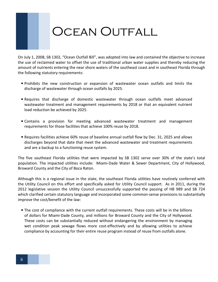#### OCEAN OUTFALL

On July 1, 2008, SB 1302, "Ocean Outfall Bill", was adopted into law and contained the objective to increase the use of reclaimed water to offset the use of traditional urban water supplies and thereby reducing the amount of nutrients entering the near shore waters of the southeast coast and in southeast Florida through the following statutory requirements:

- Prohibits the new construction or expansion of wastewater ocean outfalls and limits the discharge of wastewater through ocean outfalls by 2025.
- Requires that discharge of domestic wastewater through ocean outfalls meet advanced wastewater treatment and management requirements by 2018 or that an equivalent nutrient load reduction be achieved by 2025.
- Contains a provision for meeting advanced wastewater treatment and management requirements for those facilities that achieve 100% reuse by 2018.
- Requires facilities achieve 60% reuse of baseline annual outfall flow by Dec. 31, 2025 and allows discharges beyond that date that meet the advanced wastewater and treatment requirements and are a backup to a functioning reuse system.

The five southeast Florida utilities that were impacted by SB 1302 serve over 30% of the state's total population. The impacted utilities include: Miami-Dade Water & Sewer Department, City of Hollywood, Broward County and the City of Boca Raton.

Although this is a regional issue in the state, the southeast Florida utilities have routinely conferred with the Utility Council on this effort and specifically asked for Utility Council support. As in 2011, during the 2012 legislative session the Utility Council unsuccessfully supported the passing of HB 989 and SB 724 which clarified certain statutory language and incorporated some common-sense provisions to substantially improve the cost/benefit of the law:

• The cost of compliance with the current outfall requirements. These costs will be in the billions of dollars for Miami-Dade County, and millions for Broward County and the City of Hollywood. These costs can be substantially reduced without endangering the environment by managing wet condition peak sewage flows more cost-effectively and by allowing utilities to achieve compliance by accounting for their entire reuse program instead of reuse from outfalls alone.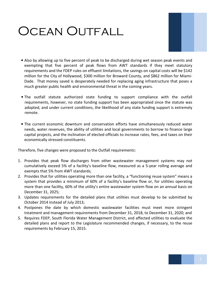### Ocean Outfall



- Also by allowing up to five percent of peak to be discharged during wet season peak events and exempting that five percent of peak flows from AWT standards if they meet statutory requirements and the FDEP rules on effluent limitations, the savings on capital costs will be \$142 million for the City of Hollywood, \$300 million for Broward County, and \$862 million for Miami-Dade. That money saved is desperately needed for replacing aging infrastructure that poses a much greater public health and environmental threat in the coming years.
- The outfall statute authorized state funding to support compliance with the outfall requirements, however, no state funding support has been appropriated since the statute was adopted, and under current conditions, the likelihood of any state funding support is extremely remote.
- The current economic downturn and conservation efforts have simultaneously reduced water needs, water revenues, the ability of utilities and local governments to borrow to finance large capital projects, and the inclination of elected officials to increase rates, fees, and taxes on their economically stressed constituents.

Therefore, five changes were proposed to the Outfall requirements:

- 1. Provides that peak flow discharges from other wastewater management systems may not cumulatively exceed 5% of a facility's baseline flow, measured as a 5-year rolling average and exempts that 5% from AWT standards;
- 2. Provides that for utilities operating more than one facility, a "functioning reuse system" means a system that provides a minimum of 60% of a facility's baseline flow or, for utilities operating more than one facility, 60% of the utility's entire wastewater system flow on an annual basis on December 31, 2025;
- 3. Updates requirements for the detailed plans that utilities must develop to be submitted by October 2014 instead of July 2013;
- 4. Postpones the date by which domestic wastewater facilities must meet more stringent treatment and management requirements from December 31, 2018, to December 31, 2020; and
- 5. Requires FDEP, South Florida Water Management District, and affected utilities to evaluate the detailed plans and report to the Legislature recommended changes, if necessary, to the reuse requirements by February 15, 2015.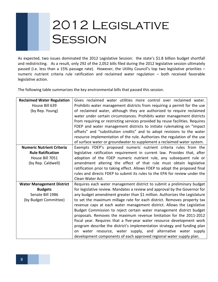# 2012 Legislative **SESSION**

As expected, two issues dominated the 2012 Legislative Session: the state's \$1.8 billion budget shortfall and redistricting. As a result, only 292 of the 2,052 bills filed during the 2012 legislative session ultimately passed (i.e. less than a 15% passage rate). However, the Utility Council's top two legislative priorities – numeric nutrient criteria rule ratification and reclaimed water regulation – both received favorable legislative action.

The following table summarizes the key environmental bills that passed this session.

| <b>Reclaimed Water Regulation</b> | Gives reclaimed water utilities more control over reclaimed water.            |
|-----------------------------------|-------------------------------------------------------------------------------|
| House Bill 639                    | Prohibits water management districts from requiring a permit for the use      |
| (by Rep. Young)                   | of reclaimed water, although they are authorized to require reclaimed         |
|                                   | water under certain circumstances. Prohibits water management districts       |
|                                   | from requiring or restricting services provided by reuse facilities. Requires |
|                                   | FDEP and water management districts to initiate rulemaking on "impact         |
|                                   | offsets" and "substitution credits" and to adopt revisions to the water       |
|                                   | resource implementation of the rule. Authorizes the regulation of the use     |
|                                   | of surface water or groundwater to supplement a reclaimed water system.       |
| <b>Numeric Nutrient Criteria</b>  | Exempts FDEP's proposed numeric nutrient criteria rules from the              |
| <b>Rule Ratification</b>          | legislative ratification requirement in current law. Provides that, after     |
| House Bill 7051                   | adoption of the FDEP numeric nutrient rule, any subsequent rule or            |
| (by Rep. Caldwell)                | amendment altering the effect of that rule must obtain legislative            |
|                                   | ratification prior to taking effect. Allows FDEP to adopt the proposed final  |
|                                   | rules and directs FDEP to submit its rules to the EPA for review under the    |
|                                   | Clean Water Act.                                                              |
| <b>Water Management District</b>  | Requires each water management district to submit a preliminary budget        |
| <b>Budgets</b>                    | for legislative review. Mandates a review and approval by the Governor for    |
| Senate Bill 1986                  | any budget amendment greater than \$1 million. Authorizes the Legislature     |
| (by Budget Committee)             | to set the maximum millage rate for each district. Removes property tax       |
|                                   | revenue caps at each water management district. Allows the Legislative        |
|                                   | Budget Commission to reject certain water management district budget          |
|                                   | proposals. Removes the maximum revenue limitation for the 2011-2012           |
|                                   | fiscal year. Requires that a five-year water resource development work        |
|                                   | program describe the district's implementation strategy and funding plan      |
|                                   | on water resource, water supply, and alternative water supply                 |
|                                   | development components of each approved regional water supply plan.           |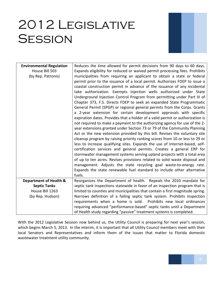### 2012 Legislative **SESSION**



| <b>Environmental Regulation</b>   | Reduces the time allowed for permit decisions from 90 days to 60 days.         |
|-----------------------------------|--------------------------------------------------------------------------------|
| House Bill 503                    | Expands eligibility for reduced or waived permit processing fees. Prohibits    |
| (by Rep. Patronis)                | municipalities from requiring an applicant to obtain a state or federal        |
|                                   | permit prior to the issuance of a local permit. Authorizes FDEP to issue a     |
|                                   | coastal construction permit in advance of the issuance of any incidental       |
|                                   | take authorization. Exempts injection wells authorized under State             |
|                                   | Underground Injection Control Program from permitting under Part III of        |
|                                   | Chapter 373, F.S. Directs FDEP to seek an expanded State Programmatic          |
|                                   | General Permit (SPGP) or regional general permits from the Corps. Grants       |
|                                   | a 2-year extension for certain development approvals with specific             |
|                                   | expiration dates. Provides that a holder of a valid permit or authorization is |
|                                   | not required to make a payment to the authorizing agency for use of the 2-     |
|                                   | year extensions granted under Section 73 or 79 of the Community Planning       |
|                                   | Act or the new extension provided by this bill. Revises the voluntary site     |
|                                   | cleanup program by raising priority ranking scores from 10 or less to 29 or    |
|                                   | less to increase qualifying sites. Expands the use of Internet-based, self-    |
|                                   | certification services and general permits. Creates a general ERP for          |
|                                   | stormwater management systems serving upland projects with a total area        |
|                                   | of up to ten acres. Revises provisions related to solid waste disposal and     |
|                                   | management. Adjusts the state recycling goal waste-to-energy rate.             |
|                                   | Expands the state renewable fuel standard to include other alternative         |
|                                   | fuels.                                                                         |
| <b>Department of Health &amp;</b> | Reorganizes the Department of health. Repeals the 2010 mandate for             |
| <b>Septic Tanks</b>               | septic tank inspections statewide in favor of an inspection program that is    |
| House Bill 1263                   | limited to counties and municipalities that contain a first magnitude spring.  |
| (by Rep. Hudson)                  | Narrows definition of a failing septic tank system. Prohibits inspection       |
|                                   | requirements when a home is sold. Prohibits new local ordinances               |
|                                   | requiring advanced "performance-based" septic tanks until a Department         |
|                                   | of Health study regarding "passive" treatment systems is completed.            |

With the 2012 Legislative Session now behind us, the Utility Council is preparing for next year's session, which begins March 5, 2013. In the interim, it is important that all Utility Council members meet with their local Senators and Representatives and inform them of the issues that matter to Florida domestic wastewater treatment utility community.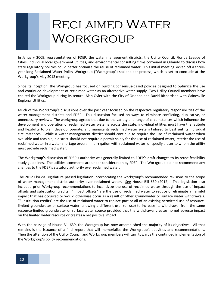# Reclaimed Water Workgroup

In January 2009, representatives of FDEP, the water management districts, the Utility Council, Florida League of Cities, individual local government utilities, and environmental consulting firms convened in Orlando to discuss how state regulatory policies could better optimize the reuse of reclaimed water. This initial meeting kicked off a threeyear long Reclaimed Water Policy Workgroup ("Workgroup") stakeholder process, which is set to conclude at the Workgroup's May 2012 meeting.

Since its inception, the Workgroup has focused on building consensus-based policies designed to optimize the use and continued development of reclaimed water as an alternative water supply. Two Utility Council members have chaired the Workgroup during its tenure: Alan Oyler with the City of Orlando and David Richardson with Gainesville Regional Utilities.

Much of the Workgroup's discussions over the past year focused on the respective regulatory responsibilities of the water management districts and FDEP. This discussion focused on ways to eliminate conflicting, duplicative, or unnecessary reviews. The workgroup agreed that due to the variety and range of circumstances which influence the development and operation of reclaimed water systems across the state, individual utilities must have the latitude and flexibility to plan, develop, operate, and manage its reclaimed water system tailored to best suit its individual circumstances. While a water management district should continue to require the use of reclaimed water when available and feasible, a district should not require a permit solely for the use of reclaimed water; restrict the use of reclaimed water in a water shortage order; limit irrigation with reclaimed water; or specify a user to whom the utility must provide reclaimed water.

The Workgroup's discussion of FDEP's authority was generally limited to FDEP's draft changes to its reuse feasibility study guidelines. The utilities' comments are under consideration by FDEP. The Workgroup did not recommend any changes to the FDEP's statutory authority over reclaimed water.

The 2012 Florida Legislature passed legislation incorporating the workgroup's recommended revisions to the scope of water management district authority over reclaimed water. See House Bill 639 (2012). This legislation also included prior Workgroup recommendations to incentivize the use of reclaimed water through the use of impact offsets and substitution credits. "Impact offsets" are the use of reclaimed water to reduce or eliminate a harmful impact that has occurred or would otherwise occur as a result of other groundwater or surface water withdrawals. "Substitution credits" are the use of reclaimed water to replace part or all of an existing permitted use of resourcelimited groundwater or surface water, allowing a different user (or use) to increase its withdrawal from the same resource-limited groundwater or surface water source provided that the withdrawal creates no net adverse impact on the limited water resource or creates a net positive impact.

With the passage of House Bill 639, the Workgroup has now accomplished the majority of its objectives. All that remains is the issuance of a final report that will memorialize the Workgroup's activities and recommendations. Then the attention of the Utility Council and Workgroup members will turn towards the continued implementation of the Workgroup's policy recommendations.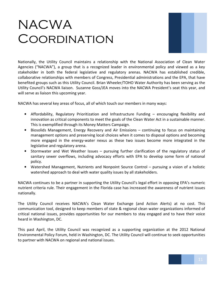# **NACWA COORDINATION**



Nationally, the Utility Council maintains a relationship with the National Association of Clean Water Agencies ("NACWA"), a group that is a recognized leader in environmental policy and viewed as a key stakeholder in both the federal legislative and regulatory arenas. NACWA has established credible, collaborative relationships with members of Congress, Presidential administrations and the EPA, that have benefited groups such as this Utility Council. Brian Wheeler/TOHO Water Authority has been serving as the Utility Council's NACWA liaison. Suzanne Goss/JEA moves into the NACWA President's seat this year, and will serve as liaison this upcoming year.

NACWA has several key areas of focus, all of which touch our members in many ways:

- Affordability, Regulatory Prioritization and Infrastructure Funding encouraging flexibility and innovation as critical components to meet the goals of the Clean Water Act in a sustainable manner. This is exemplified through its Money Matters Campaign.
- Biosolids Management, Energy Recovery and Air Emissions continuing to focus on maintaining management options and preserving local choices when it comes to disposal options and becoming more engaged in the energy-water nexus as these two issues become more integrated in the legislative and regulatory arena.
- Stormwater and Wet Weather Issues pursuing further clarification of the regulatory status of sanitary sewer overflows, including advocacy efforts with EPA to develop some form of national policy.
- Watershed Management, Nutrients and Nonpoint Source Control pursuing a vision of a holistic watershed approach to deal with water quality issues by all stakeholders.

NACWA continues to be a partner in supporting the Utility Council's legal effort in opposing EPA's numeric nutrient criteria rule. Their engagement in the Florida case has increased the awareness of nutrient issues nationally.

The Utility Council receives NACWA's Clean Water Exchange (and Action Alerts) at no cost. This communication tool, designed to keep members of state & regional clean water organizations informed of critical national issues, provides opportunities for our members to stay engaged and to have their voice heard in Washington, DC.

This past April, the Utility Council was recognized as a supporting organization at the 2012 National Environmental Policy Forum, held in Washington, DC. The Utility Council will continue to seek opportunities to partner with NACWA on regional and national issues.